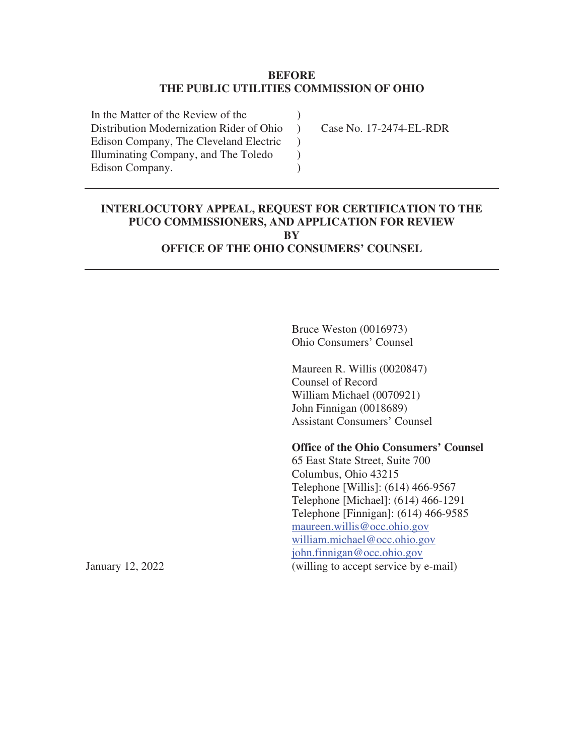#### **BEFORE THE PUBLIC UTILITIES COMMISSION OF OHIO**

)  $\lambda$  $\mathcal{L}$  $\mathcal{L}$ )

In the Matter of the Review of the Distribution Modernization Rider of Ohio Edison Company, The Cleveland Electric Illuminating Company, and The Toledo Edison Company.

Case No. 17-2474-EL-RDR

# **INTERLOCUTORY APPEAL, REQUEST FOR CERTIFICATION TO THE PUCO COMMISSIONERS, AND APPLICATION FOR REVIEW BY**

**OFFICE OF THE OHIO CONSUMERS' COUNSEL** 

Bruce Weston (0016973) Ohio Consumers' Counsel

Maureen R. Willis (0020847) Counsel of Record William Michael (0070921) John Finnigan (0018689) Assistant Consumers' Counsel

**Office of the Ohio Consumers' Counsel** 

65 East State Street, Suite 700 Columbus, Ohio 43215 Telephone [Willis]: (614) 466-9567 Telephone [Michael]: (614) 466-1291 Telephone [Finnigan]: (614) 466-9585 maureen.willis@occ.ohio.gov william.michael@occ.ohio.gov john.finnigan@occ.ohio.gov January 12, 2022 (willing to accept service by e-mail)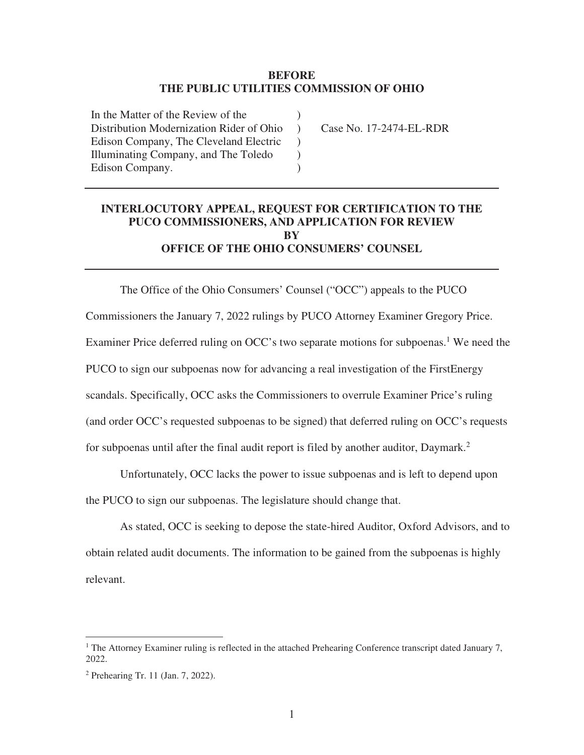#### **BEFORE THE PUBLIC UTILITIES COMMISSION OF OHIO**

)  $\lambda$  $\left( \right)$  $\mathcal{L}$ )

In the Matter of the Review of the Distribution Modernization Rider of Ohio Edison Company, The Cleveland Electric Illuminating Company, and The Toledo Edison Company.

Case No. 17-2474-EL-RDR

### **INTERLOCUTORY APPEAL, REQUEST FOR CERTIFICATION TO THE PUCO COMMISSIONERS, AND APPLICATION FOR REVIEW BY OFFICE OF THE OHIO CONSUMERS' COUNSEL**

The Office of the Ohio Consumers' Counsel ("OCC") appeals to the PUCO Commissioners the January 7, 2022 rulings by PUCO Attorney Examiner Gregory Price. Examiner Price deferred ruling on OCC's two separate motions for subpoenas.<sup>1</sup> We need the PUCO to sign our subpoenas now for advancing a real investigation of the FirstEnergy scandals. Specifically, OCC asks the Commissioners to overrule Examiner Price's ruling (and order OCC's requested subpoenas to be signed) that deferred ruling on OCC's requests for subpoenas until after the final audit report is filed by another auditor, Daymark.<sup>2</sup>

Unfortunately, OCC lacks the power to issue subpoenas and is left to depend upon the PUCO to sign our subpoenas. The legislature should change that.

As stated, OCC is seeking to depose the state-hired Auditor, Oxford Advisors, and to obtain related audit documents. The information to be gained from the subpoenas is highly relevant.

<sup>&</sup>lt;sup>1</sup> The Attorney Examiner ruling is reflected in the attached Prehearing Conference transcript dated January 7, 2022.

<sup>2</sup> Prehearing Tr. 11 (Jan. 7, 2022).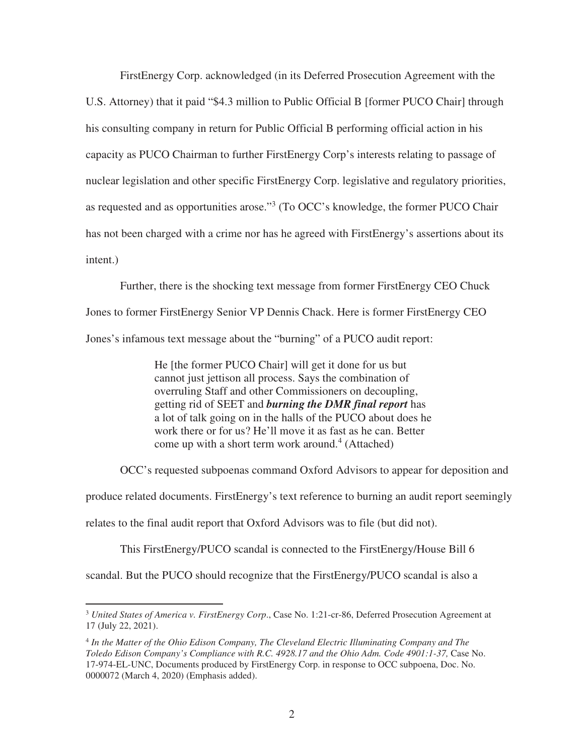FirstEnergy Corp. acknowledged (in its Deferred Prosecution Agreement with the U.S. Attorney) that it paid "\$4.3 million to Public Official B [former PUCO Chair] through his consulting company in return for Public Official B performing official action in his capacity as PUCO Chairman to further FirstEnergy Corp's interests relating to passage of nuclear legislation and other specific FirstEnergy Corp. legislative and regulatory priorities, as requested and as opportunities arose."<sup>3</sup> (To OCC's knowledge, the former PUCO Chair has not been charged with a crime nor has he agreed with FirstEnergy's assertions about its intent.)

Further, there is the shocking text message from former FirstEnergy CEO Chuck Jones to former FirstEnergy Senior VP Dennis Chack. Here is former FirstEnergy CEO Jones's infamous text message about the "burning" of a PUCO audit report:

> He [the former PUCO Chair] will get it done for us but cannot just jettison all process. Says the combination of overruling Staff and other Commissioners on decoupling, getting rid of SEET and *burning the DMR final report* has a lot of talk going on in the halls of the PUCO about does he work there or for us? He'll move it as fast as he can. Better come up with a short term work around.<sup>4</sup> (Attached)

OCC's requested subpoenas command Oxford Advisors to appear for deposition and

produce related documents. FirstEnergy's text reference to burning an audit report seemingly

relates to the final audit report that Oxford Advisors was to file (but did not).

This FirstEnergy/PUCO scandal is connected to the FirstEnergy/House Bill 6

scandal. But the PUCO should recognize that the FirstEnergy/PUCO scandal is also a

<sup>3</sup> *United States of America v. FirstEnergy Corp*., Case No. 1:21-cr-86, Deferred Prosecution Agreement at 17 (July 22, 2021).

<sup>4</sup> *In the Matter of the Ohio Edison Company, The Cleveland Electric Illuminating Company and The Toledo Edison Company's Compliance with R.C. 4928.17 and the Ohio Adm. Code 4901:1-37,* Case No. 17-974-EL-UNC, Documents produced by FirstEnergy Corp. in response to OCC subpoena, Doc. No. 0000072 (March 4, 2020) (Emphasis added).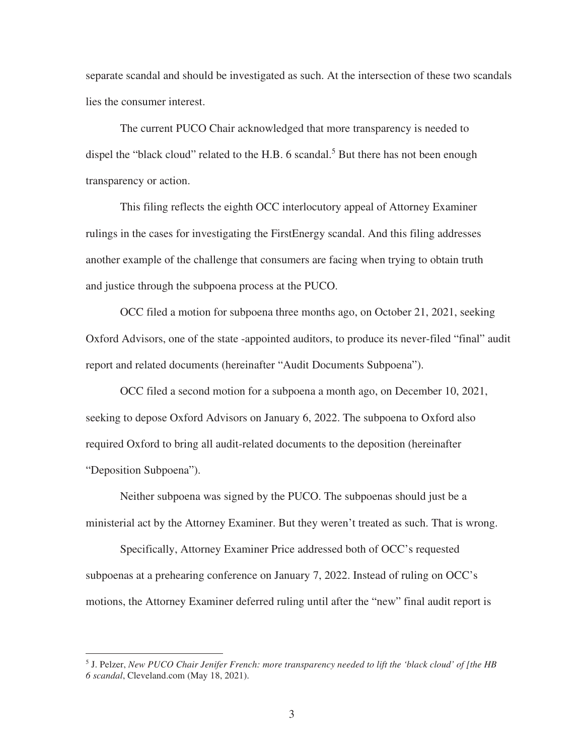separate scandal and should be investigated as such. At the intersection of these two scandals lies the consumer interest.

The current PUCO Chair acknowledged that more transparency is needed to dispel the "black cloud" related to the H.B.  $6$  scandal.<sup>5</sup> But there has not been enough transparency or action.

This filing reflects the eighth OCC interlocutory appeal of Attorney Examiner rulings in the cases for investigating the FirstEnergy scandal. And this filing addresses another example of the challenge that consumers are facing when trying to obtain truth and justice through the subpoena process at the PUCO.

OCC filed a motion for subpoena three months ago, on October 21, 2021, seeking Oxford Advisors, one of the state -appointed auditors, to produce its never-filed "final" audit report and related documents (hereinafter "Audit Documents Subpoena").

OCC filed a second motion for a subpoena a month ago, on December 10, 2021, seeking to depose Oxford Advisors on January 6, 2022. The subpoena to Oxford also required Oxford to bring all audit-related documents to the deposition (hereinafter "Deposition Subpoena").

Neither subpoena was signed by the PUCO. The subpoenas should just be a ministerial act by the Attorney Examiner. But they weren't treated as such. That is wrong.

Specifically, Attorney Examiner Price addressed both of OCC's requested subpoenas at a prehearing conference on January 7, 2022. Instead of ruling on OCC's motions, the Attorney Examiner deferred ruling until after the "new" final audit report is

<sup>5</sup> J. Pelzer, *New PUCO Chair Jenifer French: more transparency needed to lift the 'black cloud' of [the HB 6 scandal*, Cleveland.com (May 18, 2021).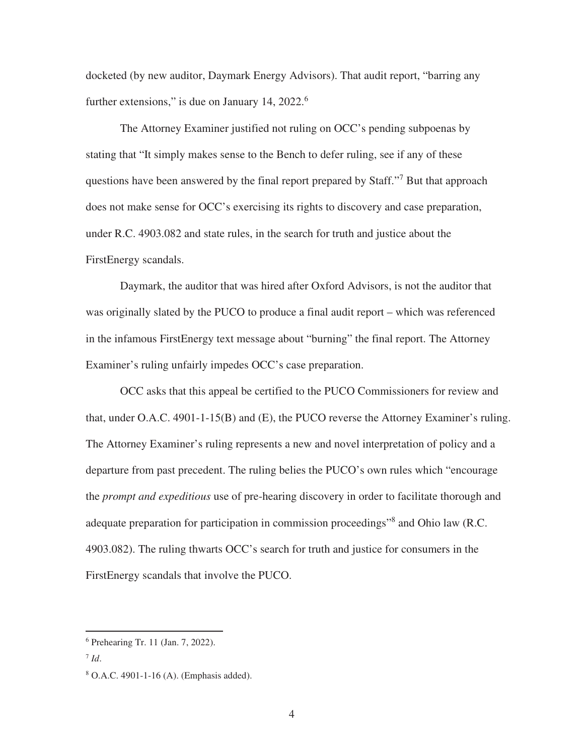docketed (by new auditor, Daymark Energy Advisors). That audit report, "barring any further extensions," is due on January 14,  $2022$ .<sup>6</sup>

The Attorney Examiner justified not ruling on OCC's pending subpoenas by stating that "It simply makes sense to the Bench to defer ruling, see if any of these questions have been answered by the final report prepared by Staff."<sup>7</sup> But that approach does not make sense for OCC's exercising its rights to discovery and case preparation, under R.C. 4903.082 and state rules, in the search for truth and justice about the FirstEnergy scandals.

Daymark, the auditor that was hired after Oxford Advisors, is not the auditor that was originally slated by the PUCO to produce a final audit report – which was referenced in the infamous FirstEnergy text message about "burning" the final report. The Attorney Examiner's ruling unfairly impedes OCC's case preparation.

OCC asks that this appeal be certified to the PUCO Commissioners for review and that, under O.A.C. 4901-1-15(B) and (E), the PUCO reverse the Attorney Examiner's ruling. The Attorney Examiner's ruling represents a new and novel interpretation of policy and a departure from past precedent. The ruling belies the PUCO's own rules which "encourage the *prompt and expeditious* use of pre-hearing discovery in order to facilitate thorough and adequate preparation for participation in commission proceedings"<sup>8</sup> and Ohio law (R.C. 4903.082). The ruling thwarts OCC's search for truth and justice for consumers in the FirstEnergy scandals that involve the PUCO.

<sup>6</sup> Prehearing Tr. 11 (Jan. 7, 2022).

<sup>7</sup> *Id*.

<sup>8</sup> O.A.C. 4901-1-16 (A). (Emphasis added).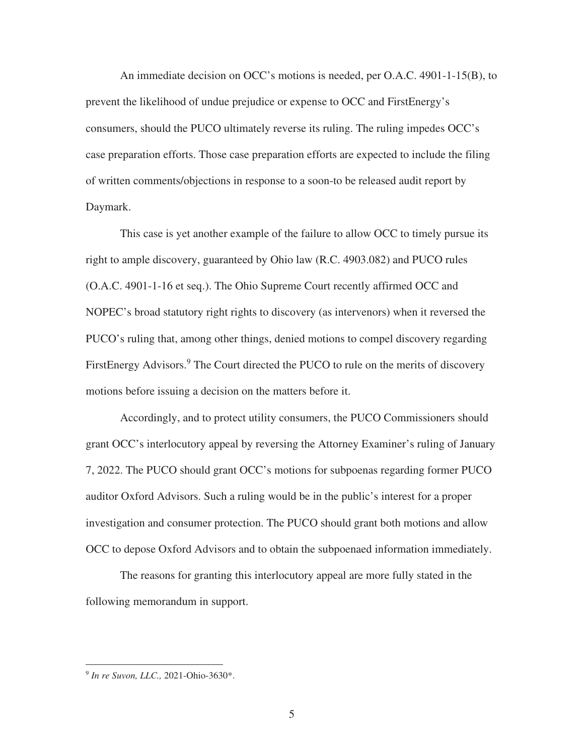An immediate decision on OCC's motions is needed, per O.A.C. 4901-1-15(B), to prevent the likelihood of undue prejudice or expense to OCC and FirstEnergy's consumers, should the PUCO ultimately reverse its ruling. The ruling impedes OCC's case preparation efforts. Those case preparation efforts are expected to include the filing of written comments/objections in response to a soon-to be released audit report by Daymark.

This case is yet another example of the failure to allow OCC to timely pursue its right to ample discovery, guaranteed by Ohio law (R.C. 4903.082) and PUCO rules (O.A.C. 4901-1-16 et seq.). The Ohio Supreme Court recently affirmed OCC and NOPEC's broad statutory right rights to discovery (as intervenors) when it reversed the PUCO's ruling that, among other things, denied motions to compel discovery regarding FirstEnergy Advisors.<sup>9</sup> The Court directed the PUCO to rule on the merits of discovery motions before issuing a decision on the matters before it.

Accordingly, and to protect utility consumers, the PUCO Commissioners should grant OCC's interlocutory appeal by reversing the Attorney Examiner's ruling of January 7, 2022. The PUCO should grant OCC's motions for subpoenas regarding former PUCO auditor Oxford Advisors. Such a ruling would be in the public's interest for a proper investigation and consumer protection. The PUCO should grant both motions and allow OCC to depose Oxford Advisors and to obtain the subpoenaed information immediately.

The reasons for granting this interlocutory appeal are more fully stated in the following memorandum in support.

<sup>9</sup> *In re Suvon, LLC.,* 2021-Ohio-3630\*.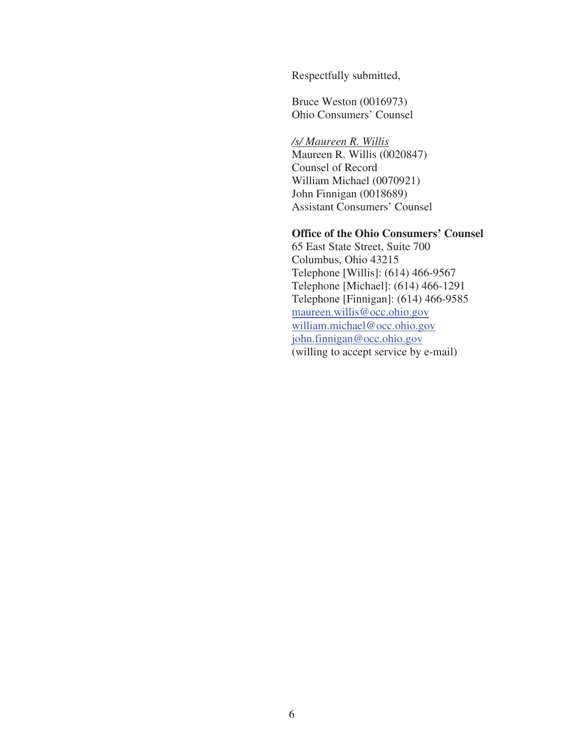Respectfully submitted,

Bruce Weston (0016973) Ohio Consumers' Counsel

 */s/ Maureen R. Willis*  Maureen R. Willis (0020847) Counsel of Record William Michael (0070921) John Finnigan (0018689) Assistant Consumers' Counsel

# **Office of the Ohio Consumers' Counsel**

65 East State Street, Suite 700 Columbus, Ohio 43215 Telephone [Willis]: (614) 466-9567 Telephone [Michael]: (614) 466-1291 Telephone [Finnigan]: (614) 466-9585 maureen.willis@occ.ohio.gov william.michael@occ.ohio.gov john.finnigan@occ.ohio.gov (willing to accept service by e-mail)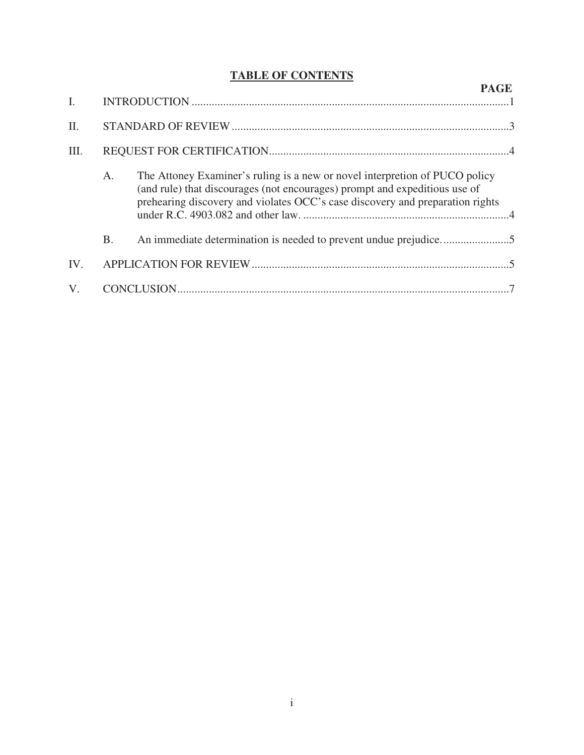# **TABLE OF CONTENTS**

|                |           | <b>PAGE</b>                                                                                                                                                                                                                                |  |
|----------------|-----------|--------------------------------------------------------------------------------------------------------------------------------------------------------------------------------------------------------------------------------------------|--|
| $\mathbf{I}$ . |           |                                                                                                                                                                                                                                            |  |
| II.            |           |                                                                                                                                                                                                                                            |  |
| III.           |           |                                                                                                                                                                                                                                            |  |
|                | А.        | The Attoney Examiner's ruling is a new or novel interpretion of PUCO policy<br>(and rule) that discourages (not encourages) prompt and expeditious use of<br>prehearing discovery and violates OCC's case discovery and preparation rights |  |
|                | <b>B.</b> |                                                                                                                                                                                                                                            |  |
| IV.            |           |                                                                                                                                                                                                                                            |  |
| $V_{\cdot}$    |           |                                                                                                                                                                                                                                            |  |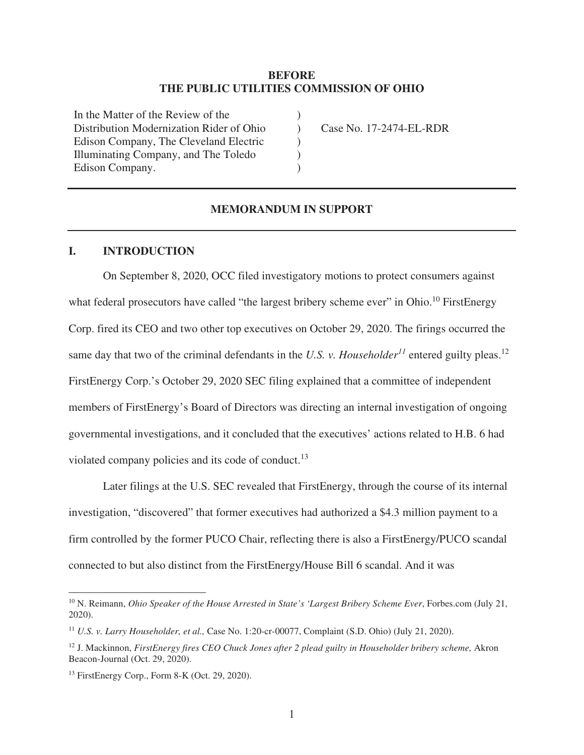#### **BEFORE THE PUBLIC UTILITIES COMMISSION OF OHIO**

)  $\lambda$ ) ) )

In the Matter of the Review of the Distribution Modernization Rider of Ohio Edison Company, The Cleveland Electric Illuminating Company, and The Toledo Edison Company.

Case No. 17-2474-EL-RDR

#### **MEMORANDUM IN SUPPORT**

#### **I. INTRODUCTION**

On September 8, 2020, OCC filed investigatory motions to protect consumers against what federal prosecutors have called "the largest bribery scheme ever" in Ohio.<sup>10</sup> FirstEnergy Corp. fired its CEO and two other top executives on October 29, 2020. The firings occurred the same day that two of the criminal defendants in the *U.S. v. Householder*<sup> $11$ </sup> entered guilty pleas.<sup>12</sup> FirstEnergy Corp.'s October 29, 2020 SEC filing explained that a committee of independent members of FirstEnergy's Board of Directors was directing an internal investigation of ongoing governmental investigations, and it concluded that the executives' actions related to H.B. 6 had violated company policies and its code of conduct.<sup>13</sup>

Later filings at the U.S. SEC revealed that FirstEnergy, through the course of its internal investigation, "discovered" that former executives had authorized a \$4.3 million payment to a firm controlled by the former PUCO Chair, reflecting there is also a FirstEnergy/PUCO scandal connected to but also distinct from the FirstEnergy/House Bill 6 scandal. And it was

<sup>10</sup> N. Reimann, *Ohio Speaker of the House Arrested in State's 'Largest Bribery Scheme Ever*, Forbes.com (July 21, 2020).

<sup>11</sup> *U.S. v. Larry Householder, et al.,* Case No. 1:20-cr-00077, Complaint (S.D. Ohio) (July 21, 2020).

<sup>12</sup> J. Mackinnon, *FirstEnergy fires CEO Chuck Jones after 2 plead guilty in Householder bribery scheme,* Akron Beacon-Journal (Oct. 29, 2020).

<sup>13</sup> FirstEnergy Corp., Form 8-K (Oct. 29, 2020).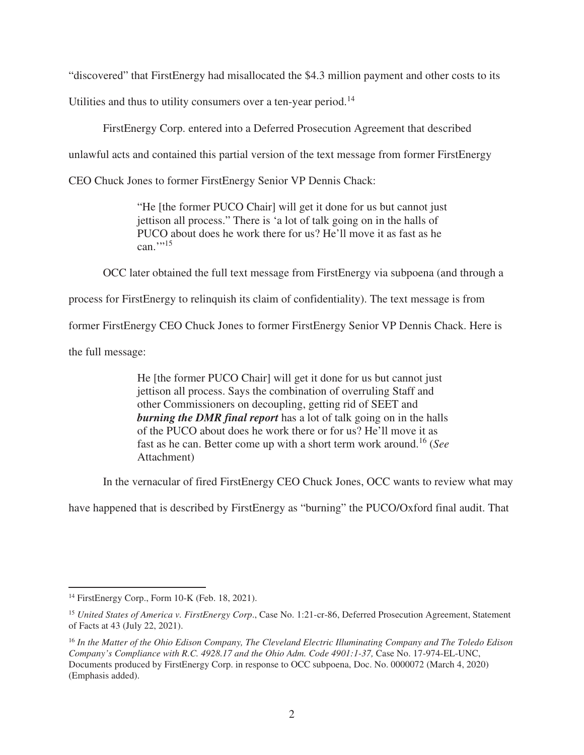"discovered" that FirstEnergy had misallocated the \$4.3 million payment and other costs to its

Utilities and thus to utility consumers over a ten-year period.<sup>14</sup>

FirstEnergy Corp. entered into a Deferred Prosecution Agreement that described

unlawful acts and contained this partial version of the text message from former FirstEnergy

CEO Chuck Jones to former FirstEnergy Senior VP Dennis Chack:

"He [the former PUCO Chair] will get it done for us but cannot just jettison all process." There is 'a lot of talk going on in the halls of PUCO about does he work there for us? He'll move it as fast as he  $can.$ <sup>"15</sup>

OCC later obtained the full text message from FirstEnergy via subpoena (and through a

process for FirstEnergy to relinquish its claim of confidentiality). The text message is from

former FirstEnergy CEO Chuck Jones to former FirstEnergy Senior VP Dennis Chack. Here is

the full message:

He [the former PUCO Chair] will get it done for us but cannot just jettison all process. Says the combination of overruling Staff and other Commissioners on decoupling, getting rid of SEET and *burning the DMR final report* has a lot of talk going on in the halls of the PUCO about does he work there or for us? He'll move it as fast as he can. Better come up with a short term work around.<sup>16</sup> (*See* Attachment)

In the vernacular of fired FirstEnergy CEO Chuck Jones, OCC wants to review what may

have happened that is described by FirstEnergy as "burning" the PUCO/Oxford final audit. That

<sup>14</sup> FirstEnergy Corp., Form 10-K (Feb. 18, 2021).

<sup>15</sup> *United States of America v. FirstEnergy Corp*., Case No. 1:21-cr-86, Deferred Prosecution Agreement, Statement of Facts at 43 (July 22, 2021).

<sup>16</sup> *In the Matter of the Ohio Edison Company, The Cleveland Electric Illuminating Company and The Toledo Edison Company's Compliance with R.C. 4928.17 and the Ohio Adm. Code 4901:1-37, Case No. 17-974-EL-UNC,* Documents produced by FirstEnergy Corp. in response to OCC subpoena, Doc. No. 0000072 (March 4, 2020) (Emphasis added).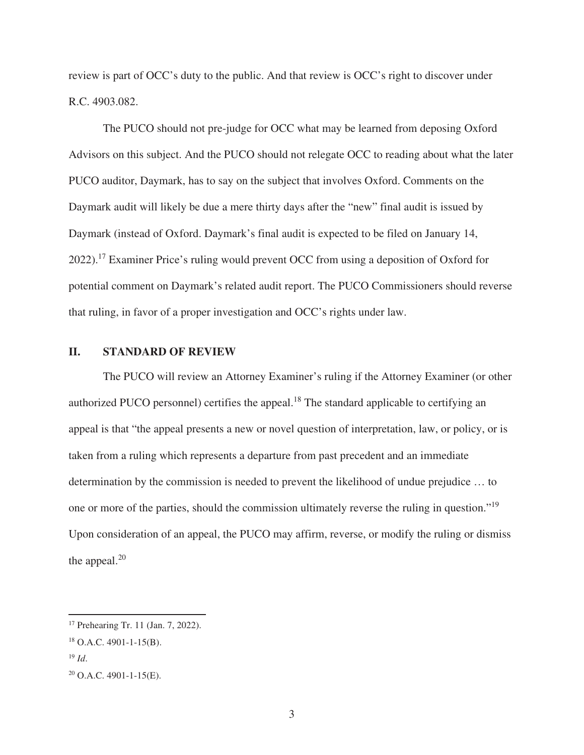review is part of OCC's duty to the public. And that review is OCC's right to discover under R.C. 4903.082.

The PUCO should not pre-judge for OCC what may be learned from deposing Oxford Advisors on this subject. And the PUCO should not relegate OCC to reading about what the later PUCO auditor, Daymark, has to say on the subject that involves Oxford. Comments on the Daymark audit will likely be due a mere thirty days after the "new" final audit is issued by Daymark (instead of Oxford. Daymark's final audit is expected to be filed on January 14, 2022).<sup>17</sup> Examiner Price's ruling would prevent OCC from using a deposition of Oxford for potential comment on Daymark's related audit report. The PUCO Commissioners should reverse that ruling, in favor of a proper investigation and OCC's rights under law.

#### **II. STANDARD OF REVIEW**

The PUCO will review an Attorney Examiner's ruling if the Attorney Examiner (or other authorized PUCO personnel) certifies the appeal.<sup>18</sup> The standard applicable to certifying an appeal is that "the appeal presents a new or novel question of interpretation, law, or policy, or is taken from a ruling which represents a departure from past precedent and an immediate determination by the commission is needed to prevent the likelihood of undue prejudice … to one or more of the parties, should the commission ultimately reverse the ruling in question."<sup>19</sup> Upon consideration of an appeal, the PUCO may affirm, reverse, or modify the ruling or dismiss the appeal. $20$ 

<sup>17</sup> Prehearing Tr. 11 (Jan. 7, 2022).

<sup>18</sup> O.A.C. 4901-1-15(B).

 $^{19}$  *Id*.

 $20$  O.A.C. 4901-1-15(E).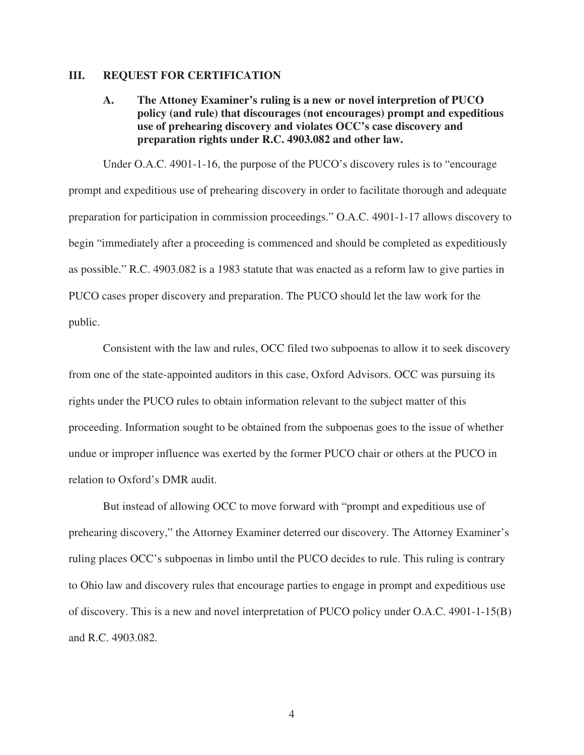#### **III. REQUEST FOR CERTIFICATION**

**A. The Attoney Examiner's ruling is a new or novel interpretion of PUCO policy (and rule) that discourages (not encourages) prompt and expeditious use of prehearing discovery and violates OCC's case discovery and preparation rights under R.C. 4903.082 and other law.** 

Under O.A.C. 4901-1-16, the purpose of the PUCO's discovery rules is to "encourage prompt and expeditious use of prehearing discovery in order to facilitate thorough and adequate preparation for participation in commission proceedings." O.A.C. 4901-1-17 allows discovery to begin "immediately after a proceeding is commenced and should be completed as expeditiously as possible." R.C. 4903.082 is a 1983 statute that was enacted as a reform law to give parties in PUCO cases proper discovery and preparation. The PUCO should let the law work for the public.

Consistent with the law and rules, OCC filed two subpoenas to allow it to seek discovery from one of the state-appointed auditors in this case, Oxford Advisors. OCC was pursuing its rights under the PUCO rules to obtain information relevant to the subject matter of this proceeding. Information sought to be obtained from the subpoenas goes to the issue of whether undue or improper influence was exerted by the former PUCO chair or others at the PUCO in relation to Oxford's DMR audit.

But instead of allowing OCC to move forward with "prompt and expeditious use of prehearing discovery," the Attorney Examiner deterred our discovery. The Attorney Examiner's ruling places OCC's subpoenas in limbo until the PUCO decides to rule. This ruling is contrary to Ohio law and discovery rules that encourage parties to engage in prompt and expeditious use of discovery. This is a new and novel interpretation of PUCO policy under O.A.C. 4901-1-15(B) and R.C. 4903.082.

4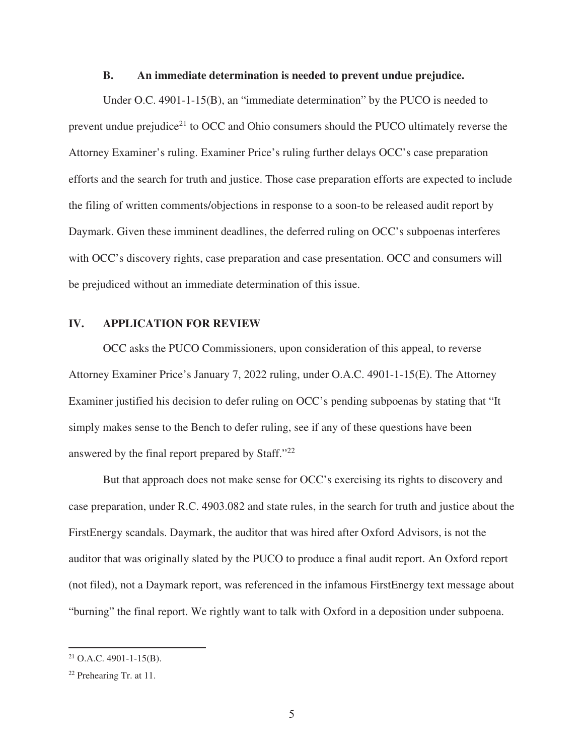#### **B. An immediate determination is needed to prevent undue prejudice.**

Under O.C. 4901-1-15(B), an "immediate determination" by the PUCO is needed to prevent undue prejudice<sup>21</sup> to OCC and Ohio consumers should the PUCO ultimately reverse the Attorney Examiner's ruling. Examiner Price's ruling further delays OCC's case preparation efforts and the search for truth and justice. Those case preparation efforts are expected to include the filing of written comments/objections in response to a soon-to be released audit report by Daymark. Given these imminent deadlines, the deferred ruling on OCC's subpoenas interferes with OCC's discovery rights, case preparation and case presentation. OCC and consumers will be prejudiced without an immediate determination of this issue.

#### **IV. APPLICATION FOR REVIEW**

OCC asks the PUCO Commissioners, upon consideration of this appeal, to reverse Attorney Examiner Price's January 7, 2022 ruling, under O.A.C. 4901-1-15(E). The Attorney Examiner justified his decision to defer ruling on OCC's pending subpoenas by stating that "It simply makes sense to the Bench to defer ruling, see if any of these questions have been answered by the final report prepared by Staff."<sup>22</sup>

But that approach does not make sense for OCC's exercising its rights to discovery and case preparation, under R.C. 4903.082 and state rules, in the search for truth and justice about the FirstEnergy scandals. Daymark, the auditor that was hired after Oxford Advisors, is not the auditor that was originally slated by the PUCO to produce a final audit report. An Oxford report (not filed), not a Daymark report, was referenced in the infamous FirstEnergy text message about "burning" the final report. We rightly want to talk with Oxford in a deposition under subpoena.

 $21$  O.A.C. 4901-1-15(B).

<sup>22</sup> Prehearing Tr. at 11.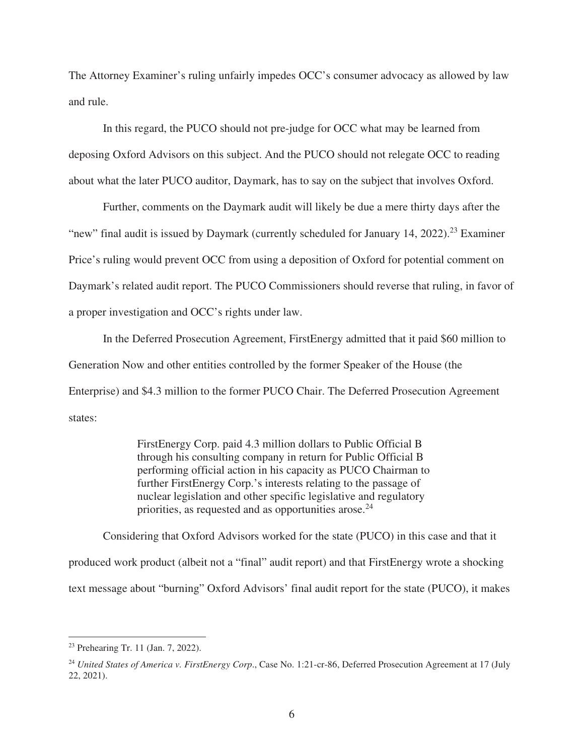The Attorney Examiner's ruling unfairly impedes OCC's consumer advocacy as allowed by law and rule.

In this regard, the PUCO should not pre-judge for OCC what may be learned from deposing Oxford Advisors on this subject. And the PUCO should not relegate OCC to reading about what the later PUCO auditor, Daymark, has to say on the subject that involves Oxford.

Further, comments on the Daymark audit will likely be due a mere thirty days after the "new" final audit is issued by Daymark (currently scheduled for January 14, 2022).<sup>23</sup> Examiner Price's ruling would prevent OCC from using a deposition of Oxford for potential comment on Daymark's related audit report. The PUCO Commissioners should reverse that ruling, in favor of a proper investigation and OCC's rights under law.

In the Deferred Prosecution Agreement, FirstEnergy admitted that it paid \$60 million to Generation Now and other entities controlled by the former Speaker of the House (the Enterprise) and \$4.3 million to the former PUCO Chair. The Deferred Prosecution Agreement states:

> FirstEnergy Corp. paid 4.3 million dollars to Public Official B through his consulting company in return for Public Official B performing official action in his capacity as PUCO Chairman to further FirstEnergy Corp.'s interests relating to the passage of nuclear legislation and other specific legislative and regulatory priorities, as requested and as opportunities arose.<sup>24</sup>

Considering that Oxford Advisors worked for the state (PUCO) in this case and that it produced work product (albeit not a "final" audit report) and that FirstEnergy wrote a shocking text message about "burning" Oxford Advisors' final audit report for the state (PUCO), it makes

<sup>23</sup> Prehearing Tr. 11 (Jan. 7, 2022).

<sup>&</sup>lt;sup>24</sup> United States of America v. FirstEnergy Corp., Case No. 1:21-cr-86, Deferred Prosecution Agreement at 17 (July 22, 2021).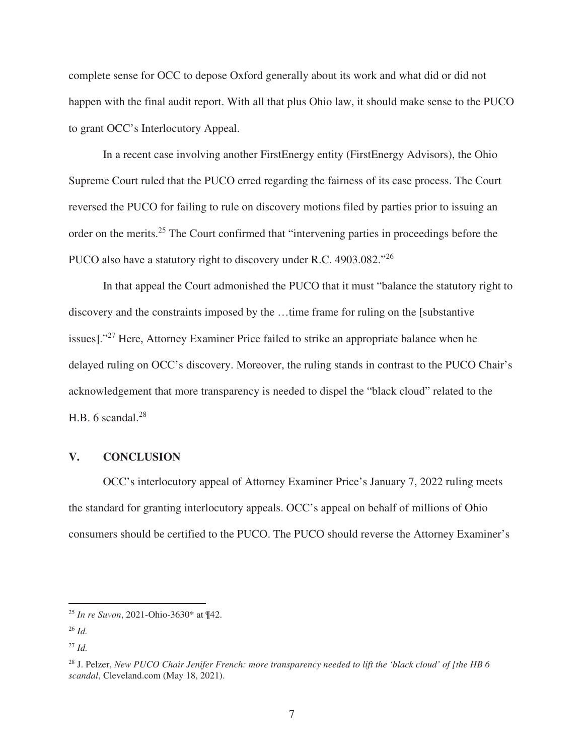complete sense for OCC to depose Oxford generally about its work and what did or did not happen with the final audit report. With all that plus Ohio law, it should make sense to the PUCO to grant OCC's Interlocutory Appeal.

In a recent case involving another FirstEnergy entity (FirstEnergy Advisors), the Ohio Supreme Court ruled that the PUCO erred regarding the fairness of its case process. The Court reversed the PUCO for failing to rule on discovery motions filed by parties prior to issuing an order on the merits.<sup>25</sup> The Court confirmed that "intervening parties in proceedings before the PUCO also have a statutory right to discovery under R.C. 4903.082."<sup>26</sup>

In that appeal the Court admonished the PUCO that it must "balance the statutory right to discovery and the constraints imposed by the …time frame for ruling on the [substantive issues]."<sup>27</sup> Here, Attorney Examiner Price failed to strike an appropriate balance when he delayed ruling on OCC's discovery. Moreover, the ruling stands in contrast to the PUCO Chair's acknowledgement that more transparency is needed to dispel the "black cloud" related to the H.B. 6 scandal. $^{28}$ 

#### **V. CONCLUSION**

OCC's interlocutory appeal of Attorney Examiner Price's January 7, 2022 ruling meets the standard for granting interlocutory appeals. OCC's appeal on behalf of millions of Ohio consumers should be certified to the PUCO. The PUCO should reverse the Attorney Examiner's

<sup>25</sup> *In re Suvon*, 2021-Ohio-3630\* at ¶42.

<sup>26</sup> *Id.*

 $^{27}$  *Id.* 

<sup>28</sup> J. Pelzer, *New PUCO Chair Jenifer French: more transparency needed to lift the 'black cloud' of [the HB 6 scandal*, Cleveland.com (May 18, 2021).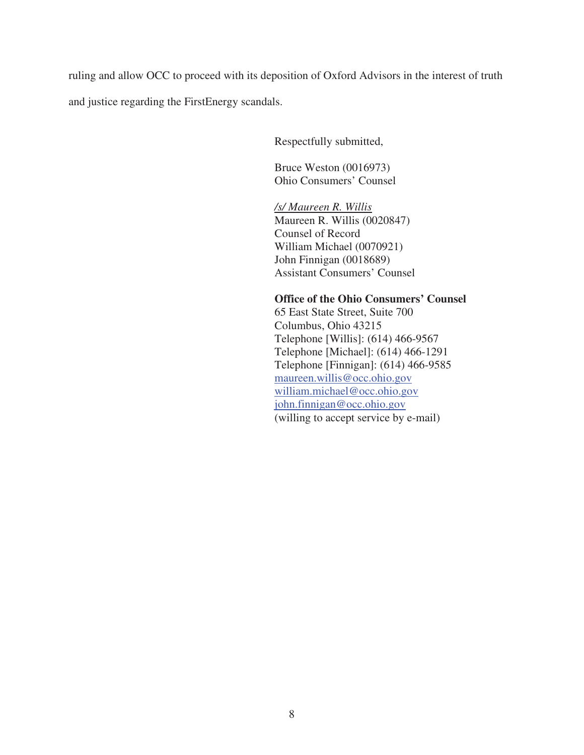ruling and allow OCC to proceed with its deposition of Oxford Advisors in the interest of truth

and justice regarding the FirstEnergy scandals.

Respectfully submitted,

Bruce Weston (0016973) Ohio Consumers' Counsel

 */s/ Maureen R. Willis*  Maureen R. Willis (0020847) Counsel of Record William Michael (0070921) John Finnigan (0018689) Assistant Consumers' Counsel

# **Office of the Ohio Consumers' Counsel**

65 East State Street, Suite 700 Columbus, Ohio 43215 Telephone [Willis]: (614) 466-9567 Telephone [Michael]: (614) 466-1291 Telephone [Finnigan]: (614) 466-9585 maureen.willis@occ.ohio.gov william.michael@occ.ohio.gov john.finnigan@occ.ohio.gov (willing to accept service by e-mail)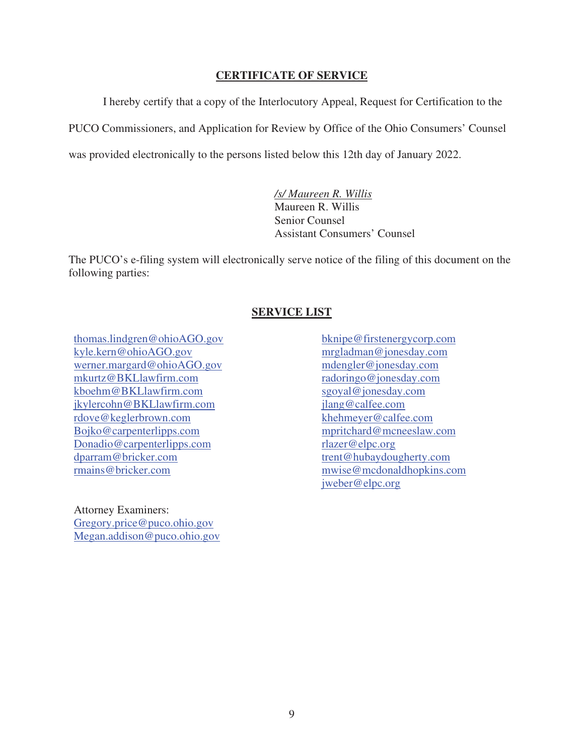### **CERTIFICATE OF SERVICE**

 I hereby certify that a copy of the Interlocutory Appeal, Request for Certification to the PUCO Commissioners, and Application for Review by Office of the Ohio Consumers' Counsel was provided electronically to the persons listed below this 12th day of January 2022.

> */s/ Maureen R. Willis*  Maureen R. Willis Senior Counsel Assistant Consumers' Counsel

The PUCO's e-filing system will electronically serve notice of the filing of this document on the following parties:

### **SERVICE LIST**

thomas.lindgren@ohioAGO.gov kyle.kern@ohioAGO.gov werner.margard@ohioAGO.gov mkurtz@BKLlawfirm.com kboehm@BKLlawfirm.com jkylercohn@BKLlawfirm.com rdove@keglerbrown.com Bojko@carpenterlipps.com Donadio@carpenterlipps.com dparram@bricker.com rmains@bricker.com

Attorney Examiners: Gregory.price@puco.ohio.gov Megan.addison@puco.ohio.gov bknipe@firstenergycorp.com mrgladman@jonesday.com mdengler@jonesday.com radoringo@jonesday.com sgoyal@jonesday.com jlang@calfee.com khehmeyer@calfee.com mpritchard@mcneeslaw.com rlazer@elpc.org trent@hubaydougherty.com mwise@mcdonaldhopkins.com jweber@elpc.org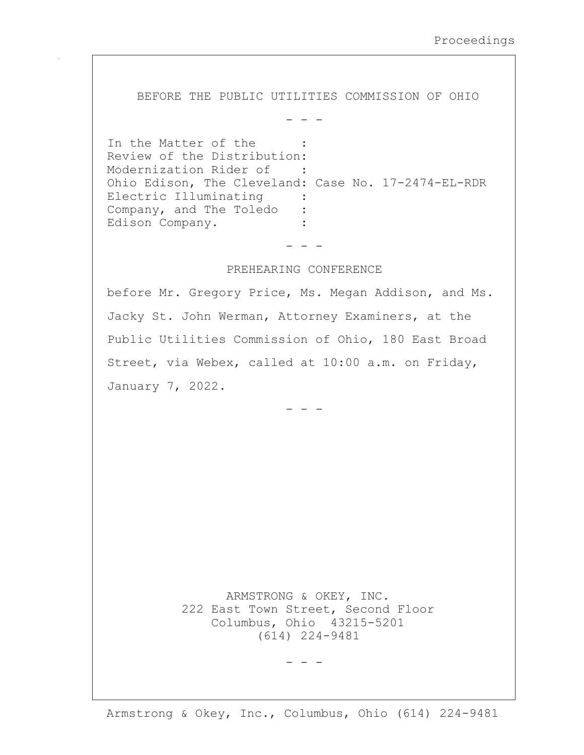BEFORE THE PUBLIC UTILITIES COMMISSION OF OHIO

 $-$ 

In the Matter of the **Contract Contract** Review of the Distribution: Modernization Rider of : Ohio Edison, The Cleveland: Case No. 17-2474-EL-RDR Electric Illuminating Company, and The Toledo  $\mathbf{r}$ Edison Company.

 $-$ 

#### PREHEARING CONFERENCE

before Mr. Gregory Price, Ms. Megan Addison, and Ms. Jacky St. John Werman, Attorney Examiners, at the Public Utilities Commission of Ohio, 180 East Broad Street, via Webex, called at 10:00 a.m. on Friday, January 7, 2022.

ARMSTRONG & OKEY, INC. 222 East Town Street, Second Floor Columbus, Ohio 43215-5201  $(614)$  224-9481

 $\qquad \qquad - \qquad -$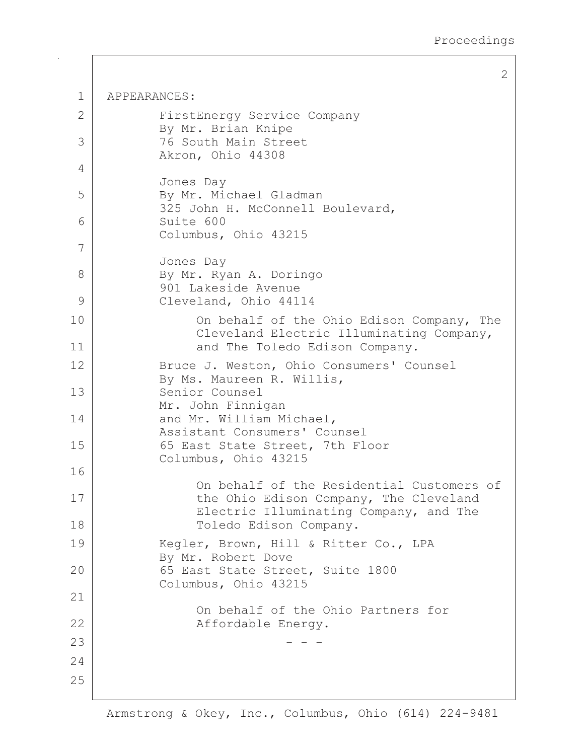$\overline{2}$ 

| $\mathbf 1$ | APPEARANCES:                                                                                                            |  |  |
|-------------|-------------------------------------------------------------------------------------------------------------------------|--|--|
| 2           | FirstEnergy Service Company<br>By Mr. Brian Knipe                                                                       |  |  |
| 3           | 76 South Main Street<br>Akron, Ohio 44308                                                                               |  |  |
| 4           | Jones Day                                                                                                               |  |  |
| 5           | By Mr. Michael Gladman<br>325 John H. McConnell Boulevard,                                                              |  |  |
| 6           | Suite 600<br>Columbus, Ohio 43215                                                                                       |  |  |
| 7           |                                                                                                                         |  |  |
| 8           | Jones Day<br>By Mr. Ryan A. Doringo<br>901 Lakeside Avenue                                                              |  |  |
| 9           | Cleveland, Ohio 44114                                                                                                   |  |  |
| 10<br>11    | On behalf of the Ohio Edison Company, The<br>Cleveland Electric Illuminating Company,<br>and The Toledo Edison Company. |  |  |
| 12          |                                                                                                                         |  |  |
| 13          | Bruce J. Weston, Ohio Consumers' Counsel<br>By Ms. Maureen R. Willis,<br>Senior Counsel                                 |  |  |
| 14          | Mr. John Finnigan<br>and Mr. William Michael,<br>Assistant Consumers' Counsel                                           |  |  |
| 15          | 65 East State Street, 7th Floor<br>Columbus, Ohio 43215                                                                 |  |  |
| 16          | On behalf of the Residential Customers of                                                                               |  |  |
| 17          | the Ohio Edison Company, The Cleveland<br>Electric Illuminating Company, and The                                        |  |  |
| 18          | Toledo Edison Company.                                                                                                  |  |  |
| 19          | Kegler, Brown, Hill & Ritter Co., LPA<br>By Mr. Robert Dove                                                             |  |  |
| 20          | 65 East State Street, Suite 1800<br>Columbus, Ohio 43215                                                                |  |  |
| 21          |                                                                                                                         |  |  |
| 22          | On behalf of the Ohio Partners for<br>Affordable Energy.                                                                |  |  |
| 23          |                                                                                                                         |  |  |
| 24          |                                                                                                                         |  |  |
| 25          |                                                                                                                         |  |  |
|             |                                                                                                                         |  |  |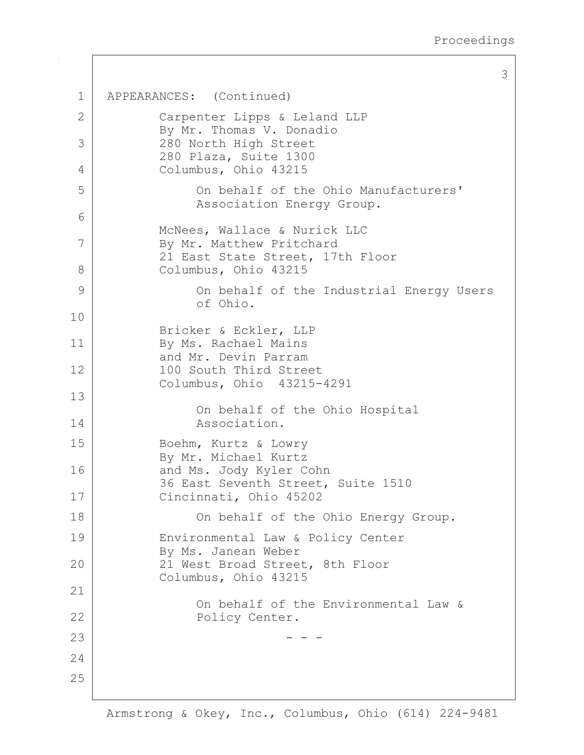3

```
\mathbf{1}APPEARANCES: (Continued)
 \overline{2}Carpenter Lipps & Leland LLP
            By Mr. Thomas V. Donadio
 3
            280 North High Street
            280 Plaza, Suite 1300
            Columbus, Ohio 43215
 \overline{4}5
                  On behalf of the Ohio Manufacturers'
                  Association Energy Group.
 6
            McNees, Wallace & Nurick LLC
 7
            By Mr. Matthew Pritchard
            21 East State Street, 17th Floor
 8
            Columbus, Ohio 43215
 9
                  On behalf of the Industrial Energy Users
                  of Ohio.
10Bricker & Eckler, LLP
11By Ms. Rachael Mains
            and Mr. Devin Parram
12100 South Third Street
            Columbus, Ohio 43215-4291
13On behalf of the Ohio Hospital
14Association.
15
            Boehm, Kurtz & Lowry
            By Mr. Michael Kurtz
            and Ms. Jody Kyler Cohn
16
            36 East Seventh Street, Suite 1510
17Cincinnati, Ohio 45202
18
                  On behalf of the Ohio Energy Group.
19
            Environmental Law & Policy Center
            By Ms. Janean Weber
2021 West Broad Street, 8th Floor
            Columbus, Ohio 43215
21
                  On behalf of the Environmental Law &
22
                  Policy Center.
232.425
```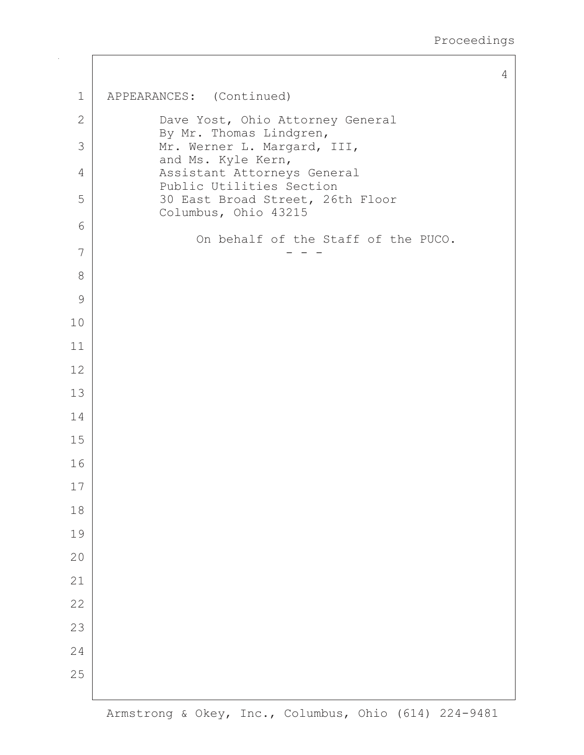$\overline{4}$ 

```
\mathbf 1APPEARANCES: (Continued)
 \mathbf{2}Dave Yost, Ohio Attorney General
              By Mr. Thomas Lindgren,
              Mr. Werner L. Margard, III,
 3
              and Ms. Kyle Kern,
 \overline{4}Assistant Attorneys General
              Public Utilities Section
 5
              30 East Broad Street, 26th Floor
              Columbus, Ohio 43215
 6
                    On behalf of the Staff of the PUCO.
 \overline{7}8
 \mathcal{G}10
111213
14
15
16
17
18
19
20
21
2223
24
25
```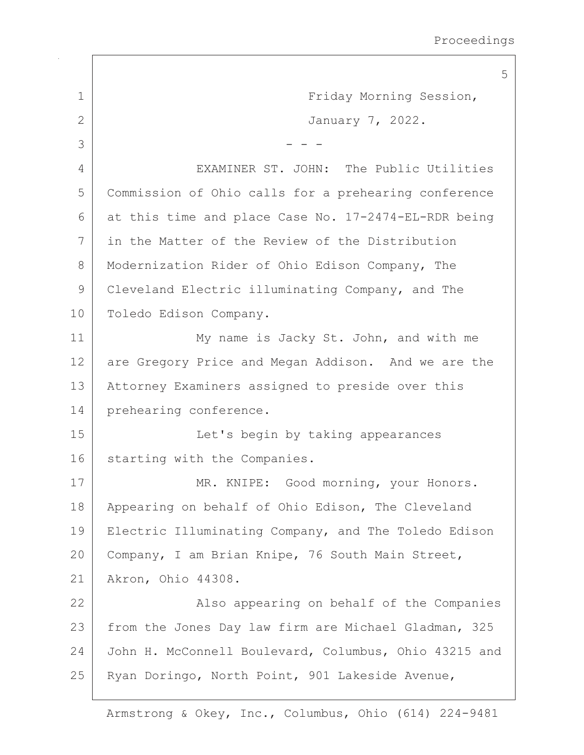5  $\mathbf{1}$ Friday Morning Session,  $\overline{2}$ January 7, 2022. 3 4 EXAMINER ST. JOHN: The Public Utilities 5 Commission of Ohio calls for a prehearing conference 6 at this time and place Case No. 17-2474-EL-RDR being 7 in the Matter of the Review of the Distribution  $\mathcal{B}$ Modernization Rider of Ohio Edison Company, The 9 Cleveland Electric illuminating Company, and The Toledo Edison Company.  $10$  $11$ My name is Jacky St. John, and with me  $12$ are Gregory Price and Megan Addison. And we are the  $13$ Attorney Examiners assigned to preside over this prehearing conference. 14 15 Let's begin by taking appearances 16 starting with the Companies. 17 MR. KNIPE: Good morning, your Honors. 18 Appearing on behalf of Ohio Edison, The Cleveland 19 Electric Illuminating Company, and The Toledo Edison  $20$ Company, I am Brian Knipe, 76 South Main Street,  $21$ Akron, Ohio 44308. 22 Also appearing on behalf of the Companies 23 from the Jones Day law firm are Michael Gladman, 325 24 John H. McConnell Boulevard, Columbus, Ohio 43215 and 25 Ryan Doringo, North Point, 901 Lakeside Avenue,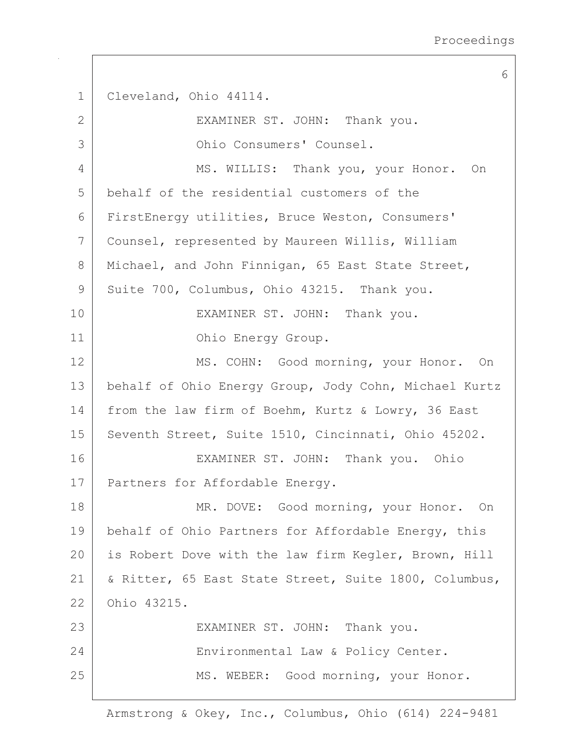6 Cleveland, Ohio 44114.  $\mathbf{1}$  $\overline{2}$ EXAMINER ST. JOHN: Thank you. Ohio Consumers' Counsel. 3 4 MS. WILLIS: Thank you, your Honor. On 5 behalf of the residential customers of the  $6 \overline{6}$ FirstEnergy utilities, Bruce Weston, Consumers' 7 Counsel, represented by Maureen Willis, William 8 Michael, and John Finnigan, 65 East State Street, 9 Suite 700, Columbus, Ohio 43215. Thank you. 10 EXAMINER ST. JOHN: Thank you.  $11$ Ohio Energy Group.  $12$ MS. COHN: Good morning, your Honor. On  $13$ behalf of Ohio Energy Group, Jody Cohn, Michael Kurtz from the law firm of Boehm, Kurtz & Lowry, 36 East 14 15 Seventh Street, Suite 1510, Cincinnati, Ohio 45202. 16 EXAMINER ST. JOHN: Thank you. Ohio 17 Partners for Affordable Energy. 18 MR. DOVE: Good morning, your Honor. On 19 behalf of Ohio Partners for Affordable Energy, this  $20$ is Robert Dove with the law firm Kegler, Brown, Hill  $21$ & Ritter, 65 East State Street, Suite 1800, Columbus,  $22$ Ohio 43215. 23 EXAMINER ST. JOHN: Thank you. 24 Environmental Law & Policy Center. 25 MS. WEBER: Good morning, your Honor.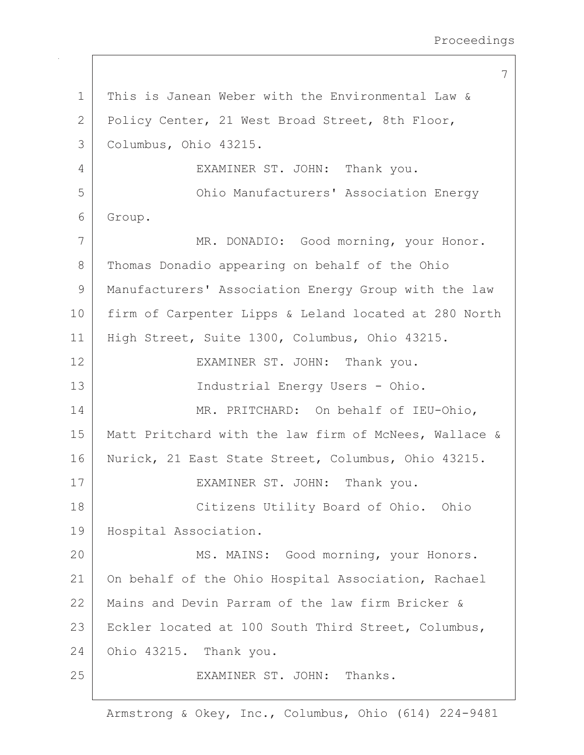Proceedings

7 This is Janean Weber with the Environmental Law &  $\mathbf{1}$  $\overline{2}$ Policy Center, 21 West Broad Street, 8th Floor, Columbus, Ohio 43215. 3 4 EXAMINER ST. JOHN: Thank you. Ohio Manufacturers' Association Energy 5 6 Group. 7 MR. DONADIO: Good morning, your Honor. 8 Thomas Donadio appearing on behalf of the Ohio  $\circ$ Manufacturers' Association Energy Group with the law 10 firm of Carpenter Lipps & Leland located at 280 North  $11$ High Street, Suite 1300, Columbus, Ohio 43215. 12 EXAMINER ST. JOHN: Thank you.  $13$ Industrial Energy Users - Ohio. 14 MR. PRITCHARD: On behalf of IEU-Ohio, 15 Matt Pritchard with the law firm of McNees, Wallace & 16 Nurick, 21 East State Street, Columbus, Ohio 43215.  $17$ EXAMINER ST. JOHN: Thank you. 18 Citizens Utility Board of Ohio. Ohio 19 Hospital Association.  $20$ MS. MAINS: Good morning, your Honors.  $21$ On behalf of the Ohio Hospital Association, Rachael 22 Mains and Devin Parram of the law firm Bricker & 23 Eckler located at 100 South Third Street, Columbus, 24 Ohio 43215. Thank you. 25 EXAMINER ST. JOHN: Thanks.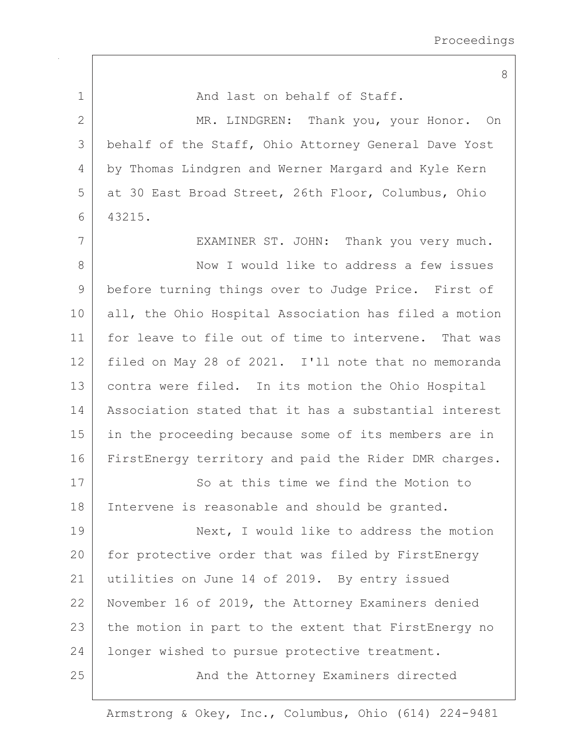8 And last on behalf of Staff.  $\mathbf{1}$  $\overline{2}$ MR. LINDGREN: Thank you, your Honor. On 3 behalf of the Staff, Ohio Attorney General Dave Yost by Thomas Lindgren and Werner Margard and Kyle Kern  $\overline{4}$ 5 at 30 East Broad Street, 26th Floor, Columbus, Ohio 6 43215. 7 EXAMINER ST. JOHN: Thank you very much. 8 Now I would like to address a few issues 9 before turning things over to Judge Price. First of 10 all, the Ohio Hospital Association has filed a motion for leave to file out of time to intervene. That was  $11$  $12$ filed on May 28 of 2021. I'll note that no memoranda  $13$ contra were filed. In its motion the Ohio Hospital 14 Association stated that it has a substantial interest 15 in the proceeding because some of its members are in 16 FirstEnergy territory and paid the Rider DMR charges. 17 So at this time we find the Motion to 18 Intervene is reasonable and should be granted. 19 Next, I would like to address the motion  $20$ for protective order that was filed by FirstEnergy  $21$ utilities on June 14 of 2019. By entry issued 22 November 16 of 2019, the Attorney Examiners denied 23 the motion in part to the extent that FirstEnergy no 24 longer wished to pursue protective treatment. 25 And the Attorney Examiners directed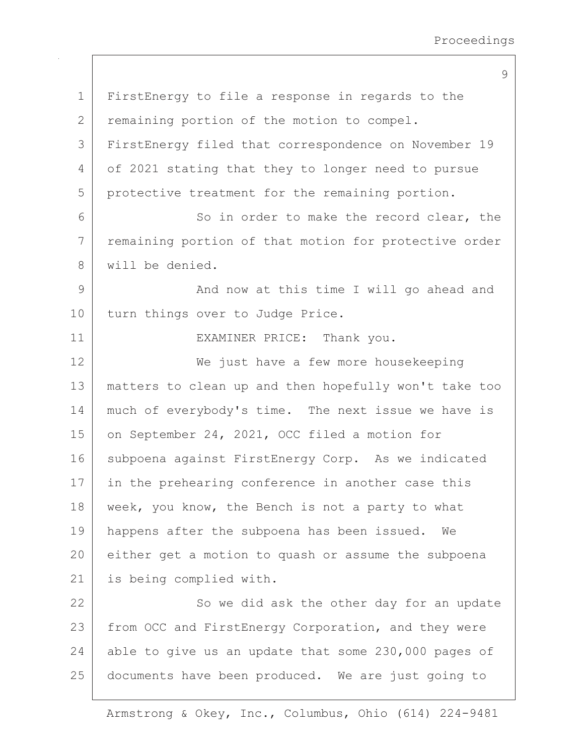9

FirstEnergy to file a response in regards to the  $\mathbf{1}$  $\overline{2}$ remaining portion of the motion to compel. FirstEnergy filed that correspondence on November 19 3  $\overline{4}$ of 2021 stating that they to longer need to pursue 5 protective treatment for the remaining portion. 6 So in order to make the record clear, the remaining portion of that motion for protective order 7 8 will be denied. 9 And now at this time I will go ahead and  $10$ turn things over to Judge Price.  $11$ EXAMINER PRICE: Thank you.  $12$ We just have a few more housekeeping  $13$ matters to clean up and then hopefully won't take too much of everybody's time. The next issue we have is 14 15 on September 24, 2021, OCC filed a motion for  $16$ subpoena against FirstEnergy Corp. As we indicated 17 in the prehearing conference in another case this 18 week, you know, the Bench is not a party to what 19 happens after the subpoena has been issued. We  $20$ either get a motion to quash or assume the subpoena  $21$ is being complied with. 22 So we did ask the other day for an update 23 from OCC and FirstEnergy Corporation, and they were 24 able to give us an update that some 230,000 pages of 25 documents have been produced. We are just going to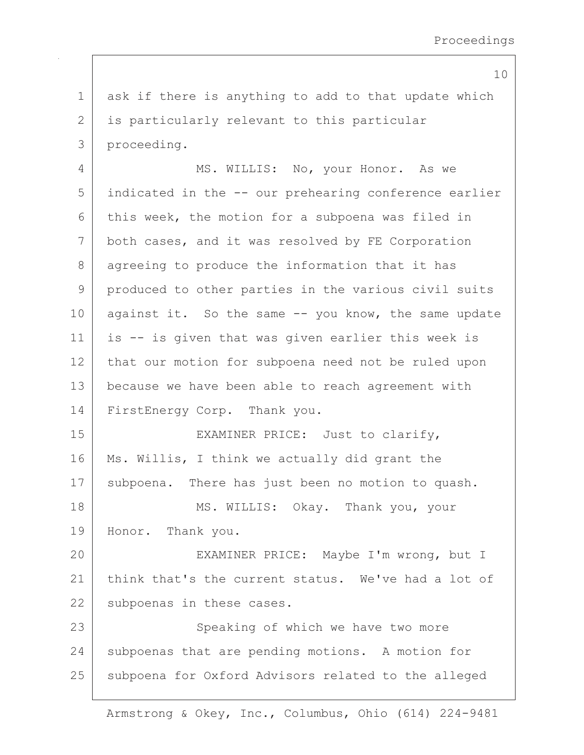ask if there is anything to add to that update which  $\mathbf{1}$  $\overline{2}$ is particularly relevant to this particular 3 proceeding. 4 MS. WILLIS: No, your Honor. As we 5 indicated in the -- our prehearing conference earlier this week, the motion for a subpoena was filed in 6 7 both cases, and it was resolved by FE Corporation 8 agreeing to produce the information that it has 9 produced to other parties in the various civil suits  $10$ against it. So the same -- you know, the same update  $11$ is -- is given that was given earlier this week is that our motion for subpoena need not be ruled upon  $12$  $13$ because we have been able to reach agreement with 14 FirstEnergy Corp. Thank you. 15 EXAMINER PRICE: Just to clarify, 16 Ms. Willis, I think we actually did grant the 17 subpoena. There has just been no motion to quash. 18 MS. WILLIS: Okay. Thank you, your 19 Honor. Thank you.  $20$ EXAMINER PRICE: Maybe I'm wrong, but I  $21$ think that's the current status. We've had a lot of 22 subpoenas in these cases. 23 Speaking of which we have two more 24 subpoenas that are pending motions. A motion for 25 subpoena for Oxford Advisors related to the alleged

Armstrong & Okey, Inc., Columbus, Ohio (614) 224-9481

10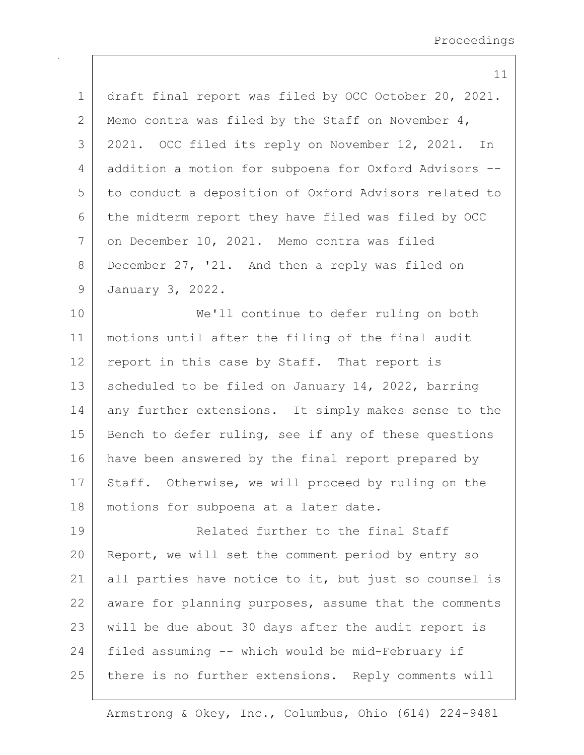|             | 11                                                    |
|-------------|-------------------------------------------------------|
| $\mathbf 1$ | draft final report was filed by OCC October 20, 2021. |
| 2           | Memo contra was filed by the Staff on November 4,     |
| 3           | 2021. OCC filed its reply on November 12, 2021. In    |
| 4           | addition a motion for subpoena for Oxford Advisors -- |
| 5           | to conduct a deposition of Oxford Advisors related to |
| 6           | the midterm report they have filed was filed by OCC   |
| 7           | on December 10, 2021. Memo contra was filed           |
| 8           | December 27, '21. And then a reply was filed on       |
| $\mathsf 9$ | January 3, 2022.                                      |
| 10          | We'll continue to defer ruling on both                |
| 11          | motions until after the filing of the final audit     |
| 12          | report in this case by Staff. That report is          |
| 13          | scheduled to be filed on January 14, 2022, barring    |
| 14          | any further extensions. It simply makes sense to the  |
| 15          | Bench to defer ruling, see if any of these questions  |
| 16          | have been answered by the final report prepared by    |
| 17          | Staff. Otherwise, we will proceed by ruling on the    |
| 18          | motions for subpoena at a later date.                 |
| 19          | Related further to the final Staff                    |
| 20          | Report, we will set the comment period by entry so    |
| 21          | all parties have notice to it, but just so counsel is |
| 22          | aware for planning purposes, assume that the comments |
| 23          | will be due about 30 days after the audit report is   |
| 24          | filed assuming -- which would be mid-February if      |
| 25          | there is no further extensions. Reply comments will   |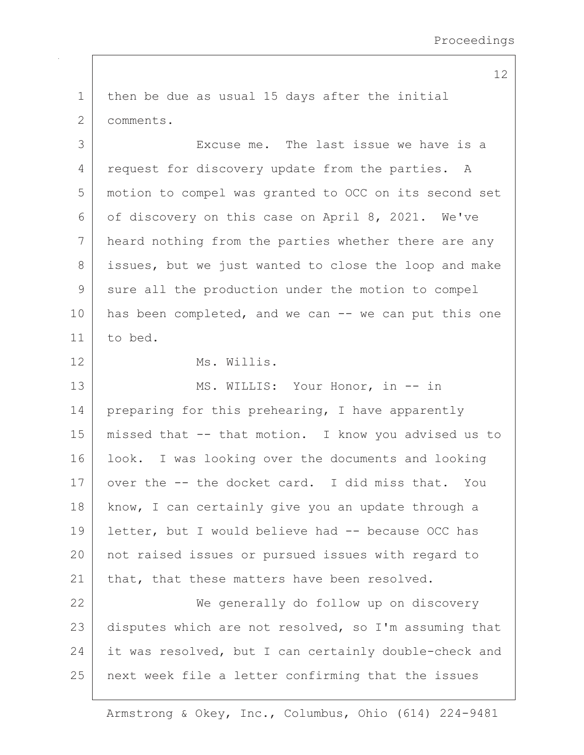then be due as usual 15 days after the initial  $\mathbf{1}$  $\overline{2}$ comments. 3 Excuse me. The last issue we have is a  $\overline{4}$ request for discovery update from the parties. A 5 motion to compel was granted to OCC on its second set 6 of discovery on this case on April 8, 2021. We've 7 heard nothing from the parties whether there are any 8 issues, but we just wanted to close the loop and make 9 sure all the production under the motion to compel  $10$ has been completed, and we can -- we can put this one  $11$ to bed.  $12$ Ms. Willis.  $13$ MS. WILLIS: Your Honor, in -- in 14 preparing for this prehearing, I have apparently 15 missed that -- that motion. I know you advised us to 16 look. I was looking over the documents and looking 17 over the -- the docket card. I did miss that. YOU 18 know, I can certainly give you an update through a letter, but I would believe had -- because OCC has 19  $20$ not raised issues or pursued issues with regard to  $21$ that, that these matters have been resolved. 22 We generally do follow up on discovery 23 disputes which are not resolved, so I'm assuming that 24 it was resolved, but I can certainly double-check and 25 next week file a letter confirming that the issues

Armstrong & Okey, Inc., Columbus, Ohio (614) 224-9481

12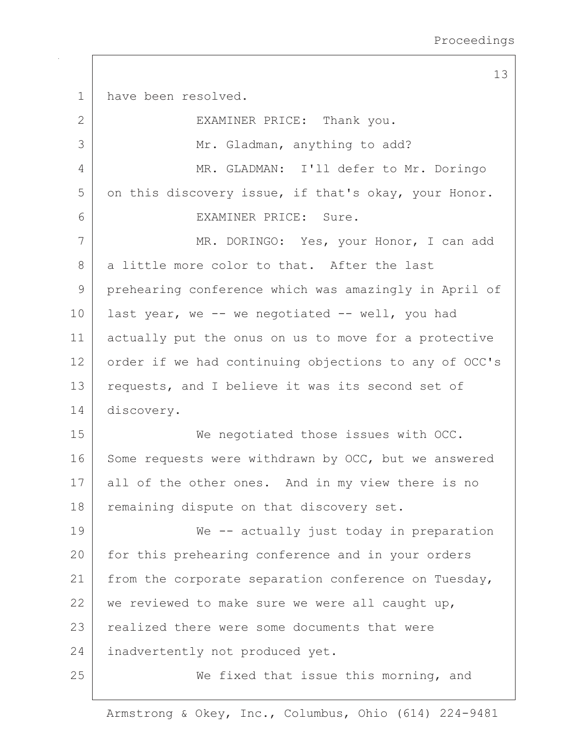13 have been resolved.  $\mathbf{1}$  $\overline{2}$ EXAMINER PRICE: Thank you. 3 Mr. Gladman, anything to add? 4 MR. GLADMAN: I'll defer to Mr. Doringo 5 on this discovery issue, if that's okay, your Honor. 6 EXAMINER PRICE: Sure. 7 MR. DORINGO: Yes, your Honor, I can add 8 a little more color to that. After the last 9 prehearing conference which was amazingly in April of  $10$ last year, we -- we negotiated -- well, you had  $11$ actually put the onus on us to move for a protective  $12$ order if we had continuing objections to any of OCC's  $13$ requests, and I believe it was its second set of 14 discovery. 15 We negotiated those issues with OCC. 16 Some requests were withdrawn by OCC, but we answered  $17$ all of the other ones. And in my view there is no 18 remaining dispute on that discovery set. 19 We -- actually just today in preparation  $20$ for this prehearing conference and in your orders  $21$ from the corporate separation conference on Tuesday, 22 we reviewed to make sure we were all caught up, 23 realized there were some documents that were 24 inadvertently not produced yet. 25 We fixed that issue this morning, and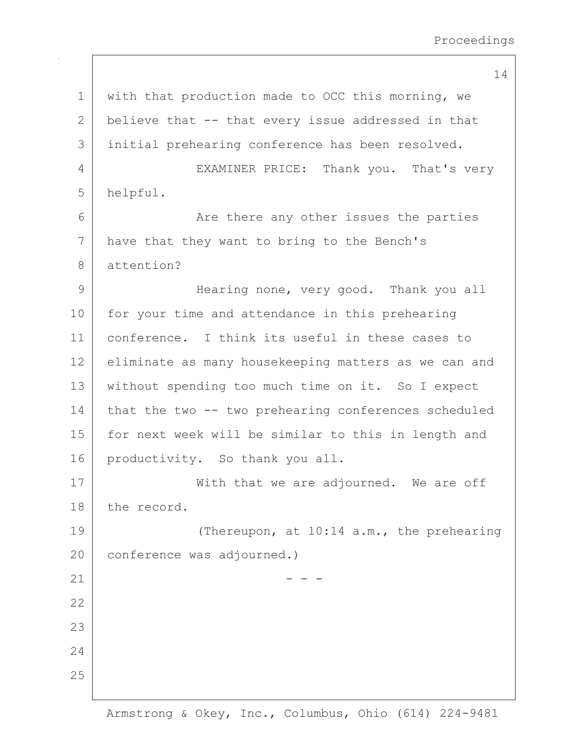14

with that production made to OCC this morning, we  $\mathbf{1}$ 2 believe that -- that every issue addressed in that initial prehearing conference has been resolved. 3  $\overline{4}$ EXAMINER PRICE: Thank you. That's very 5 helpful. 6 Are there any other issues the parties 7 have that they want to bring to the Bench's  $\mathcal{B}$  $at$ tention? Hearing none, very good. Thank you all 9 10 for your time and attendance in this prehearing conference. I think its useful in these cases to  $11$  $12$ eliminate as many housekeeping matters as we can and  $13$ without spending too much time on it. So I expect 14 that the two -- two prehearing conferences scheduled for next week will be similar to this in length and 15 16 productivity. So thank you all. 17 With that we are adjourned. We are off 18 the record. 19 (Thereupon, at 10:14 a.m., the prehearing  $20<sup>°</sup>$ conference was adjourned.)  $21$ 22 23 24 25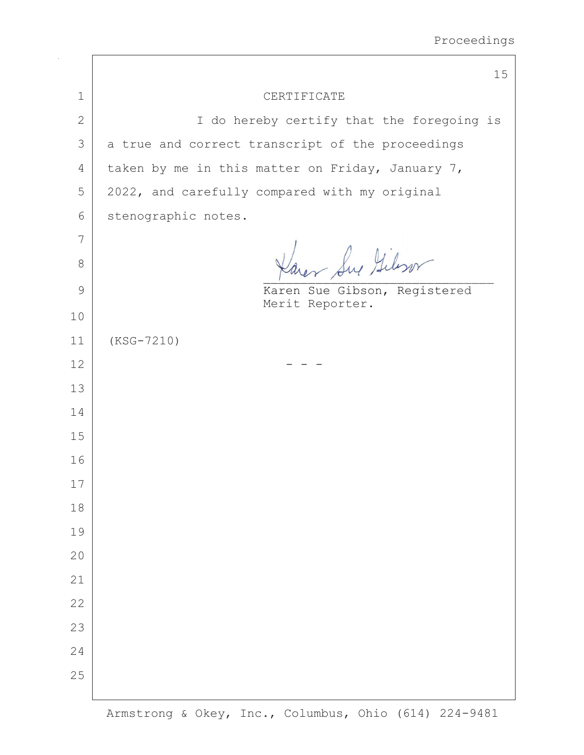$\overline{\phantom{a}}$ 

|                | 15                                               |
|----------------|--------------------------------------------------|
| $\mathbf 1$    | CERTIFICATE                                      |
| $\overline{2}$ | I do hereby certify that the foregoing is        |
| 3              | a true and correct transcript of the proceedings |
| 4              | taken by me in this matter on Friday, January 7, |
| 5              | 2022, and carefully compared with my original    |
| 6              | stenographic notes.                              |
| 7              |                                                  |
| $\,8\,$        | Karer Sur Gilson                                 |
| $\mathcal{G}$  | Karen Sue Gibson, Registered                     |
| 10             | Merit Reporter.                                  |
| 11             | $(KSG-7210)$                                     |
| 12             |                                                  |
| 13             |                                                  |
| 14             |                                                  |
| 15             |                                                  |
| 16             |                                                  |
| 17             |                                                  |
| $18\,$         |                                                  |
| 19             |                                                  |
| 20             |                                                  |
| 21             |                                                  |
| 22             |                                                  |
| 23             |                                                  |
| 24             |                                                  |
| 25             |                                                  |
|                |                                                  |

 $\sqrt{2}$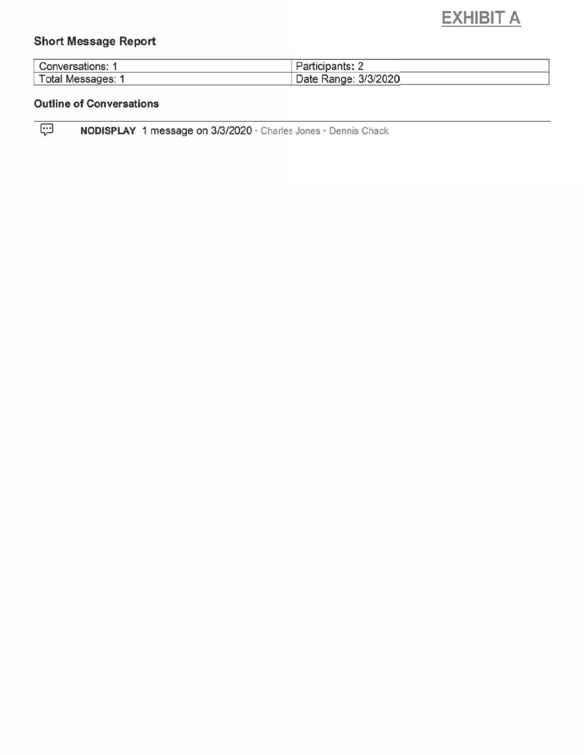# **EXHIBIT A**

# **Short Message Report**

| <b>Conversations: 1</b> | Participants: $\sim$ |  |
|-------------------------|----------------------|--|
| Total Messages: 1       | Date Range: 3/3/2020 |  |

# **Outline of Conversations**

 $\boxed{\overline{\mathbb{G}}}$ NODISPLAY 1 message on 3/3/2020 · Charles Jones · Dennis Chack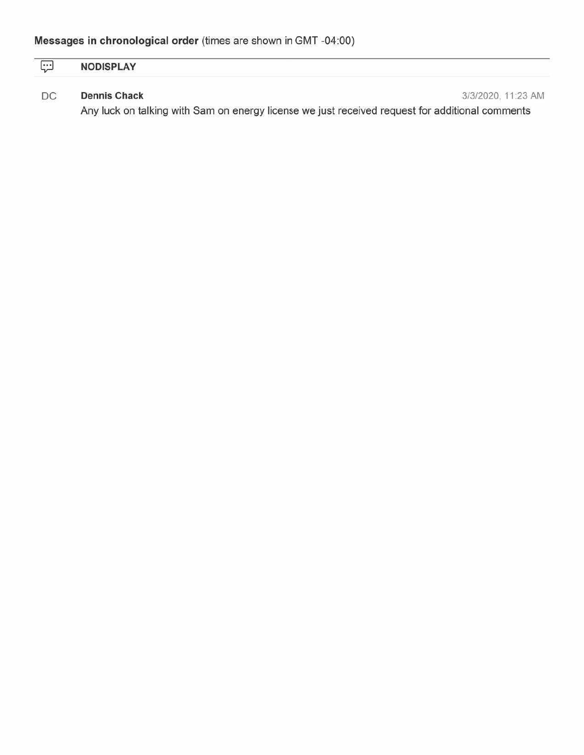| <br><b>NODICDI AV</b><br>PI A Y<br>NO<br><b>INDIAN EVIL</b> |  |  |
|-------------------------------------------------------------|--|--|
|                                                             |  |  |

#### $\mathsf{DC}$ **Dennis Chack**

3/3/2020, 11:23 AM

Any luck on talking with Sam on energy license we just received request for additional comments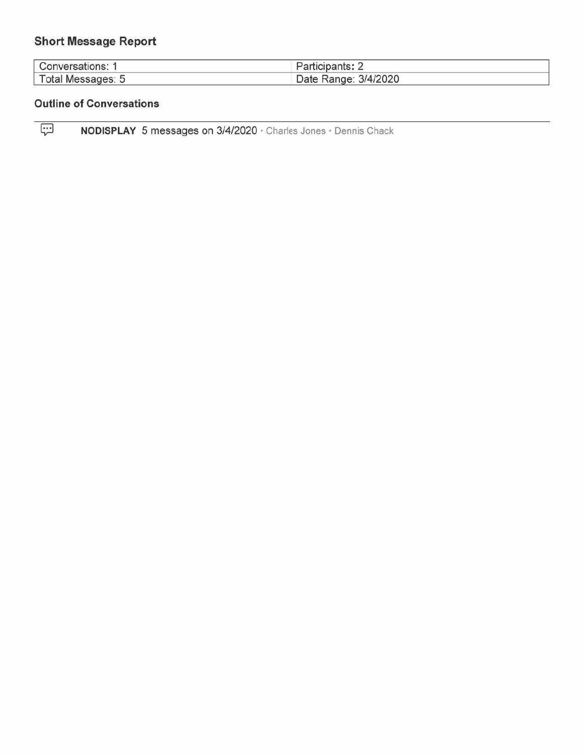# **Short Message Report**

| Conversations:     | $\blacksquare$ articipants: $\blacksquare$ |
|--------------------|--------------------------------------------|
| Total<br>Messages: | 3/4/2020<br>Date<br>Range <sup>®</sup>     |

# **Outline of Conversations**

 $\overline{\mathbb{R}}$ NODISPLAY 5 messages on 3/4/2020 · Charles Jones · Dennis Chack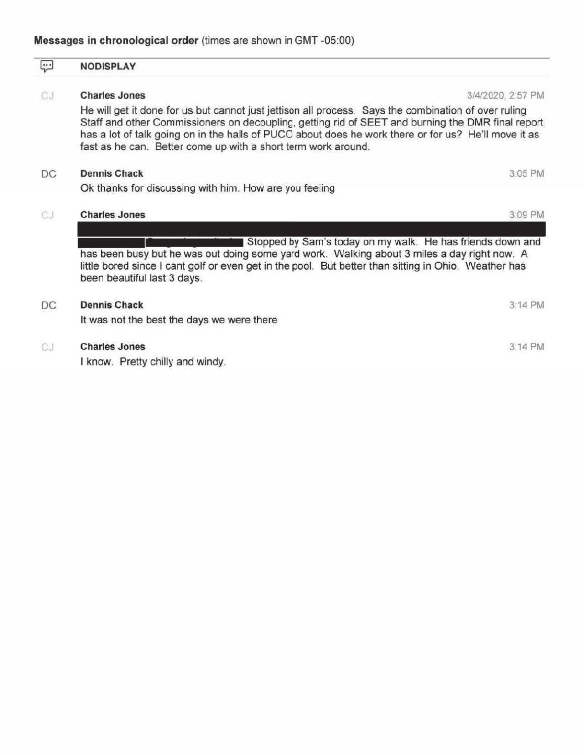#### $\overline{\mathbb{R}}$ **NODISPLAY**

#### CJ. **Charles Jones**

 $\sim$   $\sim$ 

 $\sim$   $\sim$ 

3/4/2020, 2:57 PM

CAC BLA

He will get it done for us but cannot just jettison all process. Says the combination of over ruling Staff and other Commissioners on decoupling, getting rid of SEET and burning the DMR final report has a lot of talk going on in the halls of PUCO about does he work there or for us? He'll move it as fast as he can. Better come up with a short term work around.

| υG  | Dennis Chack                                                                                                                                                                                                                                                                                     | 3.UJ MN |
|-----|--------------------------------------------------------------------------------------------------------------------------------------------------------------------------------------------------------------------------------------------------------------------------------------------------|---------|
|     | Ok thanks for discussing with him. How are you feeling                                                                                                                                                                                                                                           |         |
| CJ. | <b>Charles Jones</b>                                                                                                                                                                                                                                                                             | 3:09 PM |
|     | Stopped by Sam's today on my walk. He has friends down and<br>has been busy but he was out doing some yard work. Walking about 3 miles a day right now. A<br>little bored since I cant golf or even get in the pool. But better than sitting in Ohio. Weather has<br>been beautiful last 3 days. |         |
| DC  | <b>Dennis Chack</b><br>It was not the best the days we were there                                                                                                                                                                                                                                | 3:14 PM |
| CJ  | <b>Charles Jones</b><br>I know. Pretty chilly and windy.                                                                                                                                                                                                                                         | 3:14 PM |